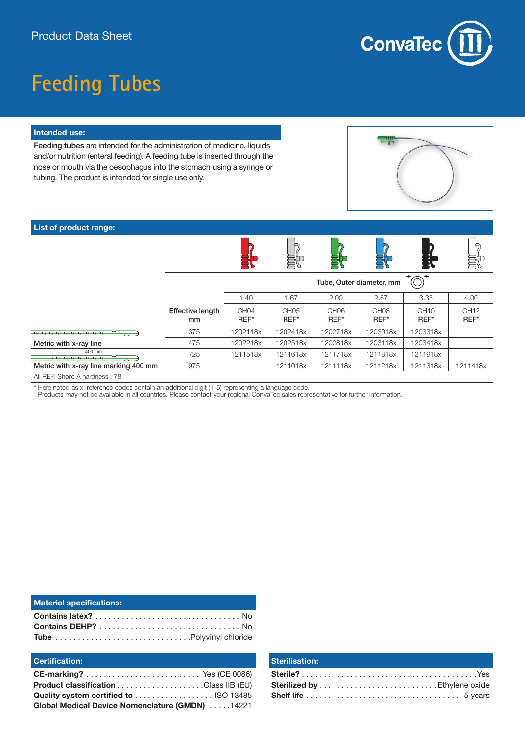

# **Feeding Tubes**

#### **Intended use:**

Feeding tubes are intended for the administration of medicine, liquids and/or nutrition (enteral feeding). A feeding tube is inserted through the nose or mouth via the oesophagus into the stomach using a syringe or tubing. The product is intended for single use only.



### **List of product range:**

|                                                     |                               |                          | 鷪                        |                          |                          |                          | 鷪                        |
|-----------------------------------------------------|-------------------------------|--------------------------|--------------------------|--------------------------|--------------------------|--------------------------|--------------------------|
|                                                     |                               | Tube, Outer diameter, mm |                          |                          |                          |                          |                          |
|                                                     |                               | 1.40                     | 1.67                     | 2.00                     | 2.67                     | 3.33                     | 4.00                     |
|                                                     | <b>Effective length</b><br>mm | CH <sub>04</sub><br>REF* | CH <sub>05</sub><br>REF* | CH <sub>06</sub><br>REF* | CH <sub>08</sub><br>REF* | CH <sub>10</sub><br>REF* | CH <sub>12</sub><br>REF* |
| <u> Ingelas Ingelas Ingelas Ingelas Ingelas Ing</u> | 375                           | 1202118x                 | 1202418x                 | 1202718x                 | 1203018x                 | 1203318x                 |                          |
| Metric with x-ray line                              | 475                           | 1202218x                 | 1202518x                 | 1202818x                 | 1203118x                 | 1203418x                 |                          |
| 400 mm<br>12-01-0-0-0-0-0-0-0-0-0                   | 725                           | 1211518x                 | 1211618x                 | 1211718x                 | 1211818x                 | 1211918x                 |                          |
| Metric with x-ray line marking 400 mm               | 975                           |                          | 1211018x                 | 1211118x                 | 1211218x                 | 1211318x                 | 1211418x                 |

All REF: Shore A hardness : 78

\* Here noted as x, reference codes contain an additional digit (1-5) representing a language code.

Products may not be available in all countries. Please contact your regional ConvaTec sales representative for further information.

| <b>Material specifications:</b> |  |
|---------------------------------|--|
|                                 |  |
|                                 |  |
|                                 |  |

### **Certification:**

| <b>Product classification Class IIB (EU)</b>    |  |
|-------------------------------------------------|--|
|                                                 |  |
| Global Medical Device Nomenclature (GMDN) 14221 |  |

#### **Sterilisation:**